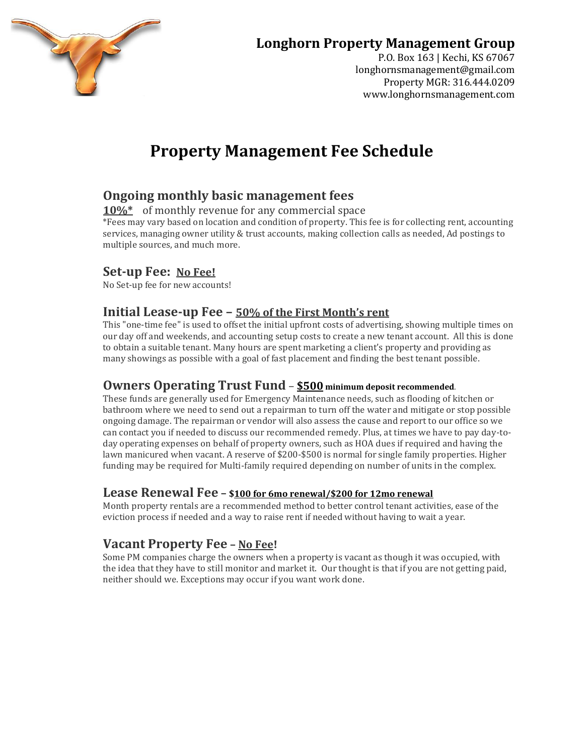

## **Longhorn Property Management Group**

P.O. Box 163 | Kechi, KS 67067 longhornsmanagement@gmail.com Property MGR: 316.444.0209 www.longhornsmanagement.com

# **Property Management Fee Schedule**

### **Ongoing monthly basic management fees**

**10%\*** of monthly revenue for any commercial space

\*Fees may vary based on location and condition of property. This fee is for collecting rent, accounting services, managing owner utility & trust accounts, making collection calls as needed, Ad postings to multiple sources, and much more.

#### **Set-up Fee: No Fee!**

No Set-up fee for new accounts!

#### **Initial Lease-up Fee – 50% of the First Month's rent**

This "one-time fee" is used to offset the initial upfront costs of advertising, showing multiple times on our day off and weekends, and accounting setup costs to create a new tenant account. All this is done to obtain a suitable tenant. Many hours are spent marketing a client's property and providing as many showings as possible with a goal of fast placement and finding the best tenant possible.

#### **Owners Operating Trust Fund** – **\$500 minimum deposit recommended**.

These funds are generally used for Emergency Maintenance needs, such as flooding of kitchen or bathroom where we need to send out a repairman to turn off the water and mitigate or stop possible ongoing damage. The repairman or vendor will also assess the cause and report to our office so we can contact you if needed to discuss our recommended remedy. Plus, at times we have to pay day-today operating expenses on behalf of property owners, such as HOA dues if required and having the lawn manicured when vacant. A reserve of \$200-\$500 is normal for single family properties. Higher funding may be required for Multi-family required depending on number of units in the complex.

#### **Lease Renewal Fee – \$100 for 6mo renewal/\$200 for 12mo renewal**

Month property rentals are a recommended method to better control tenant activities, ease of the eviction process if needed and a way to raise rent if needed without having to wait a year.

### **Vacant Property Fee – No Fee!**

Some PM companies charge the owners when a property is vacant as though it was occupied, with the idea that they have to still monitor and market it. Our thought is that if you are not getting paid, neither should we. Exceptions may occur if you want work done.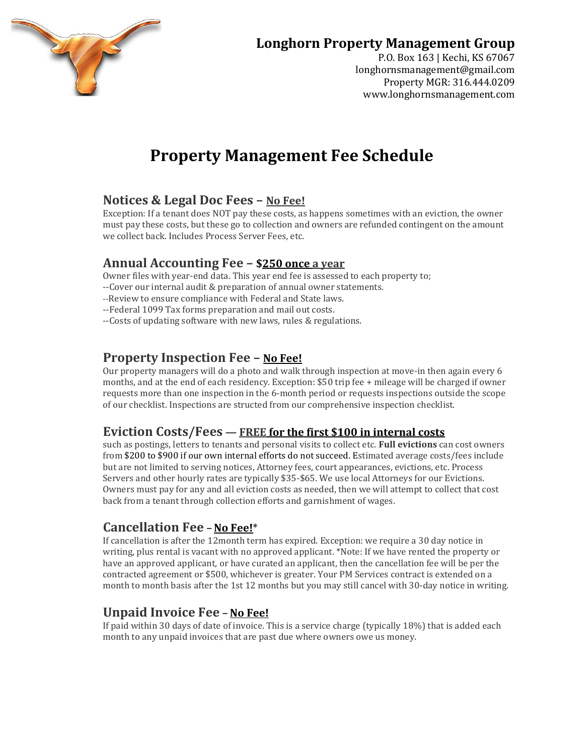

## **Longhorn Property Management Group**

P.O. Box 163 | Kechi, KS 67067 longhornsmanagement@gmail.com Property MGR: 316.444.0209 www.longhornsmanagement.com

# **Property Management Fee Schedule**

#### **Notices & Legal Doc Fees – No Fee!**

Exception: If a tenant does NOT pay these costs, as happens sometimes with an eviction, the owner must pay these costs, but these go to collection and owners are refunded contingent on the amount we collect back. Includes Process Server Fees, etc.

#### **Annual Accounting Fee – \$250 once a year**

Owner files with year-end data. This year end fee is assessed to each property to;

- --Cover our internal audit & preparation of annual owner statements.
- --Review to ensure compliance with Federal and State laws.
- --Federal 1099 Tax forms preparation and mail out costs.
- --Costs of updating software with new laws, rules & regulations.

#### **Property Inspection Fee – No Fee!**

Our property managers will do a photo and walk through inspection at move-in then again every 6 months, and at the end of each residency. Exception: \$50 trip fee + mileage will be charged if owner requests more than one inspection in the 6-month period or requests inspections outside the scope of our checklist. Inspections are structed from our comprehensive inspection checklist.

#### **Eviction Costs/Fees — FREE for the first \$100 in internal costs**

such as postings, letters to tenants and personal visits to collect etc. **Full evictions** can cost owners from \$200 to \$900 if our own internal efforts do not succeed. Estimated average costs/fees include but are not limited to serving notices, Attorney fees, court appearances, evictions, etc. Process Servers and other hourly rates are typically \$35-\$65. We use local Attorneys for our Evictions. Owners must pay for any and all eviction costs as needed, then we will attempt to collect that cost back from a tenant through collection efforts and garnishment of wages.

#### **Cancellation Fee –No Fee!**\*

If cancellation is after the 12month term has expired. Exception: we require a 30 day notice in writing, plus rental is vacant with no approved applicant. \*Note: If we have rented the property or have an approved applicant, or have curated an applicant, then the cancellation fee will be per the contracted agreement or \$500, whichever is greater. Your PM Services contract is extended on a month to month basis after the 1st 12 months but you may still cancel with 30-day notice in writing.

#### **Unpaid Invoice Fee – No Fee!**

If paid within 30 days of date of invoice. This is a service charge (typically 18%) that is added each month to any unpaid invoices that are past due where owners owe us money.